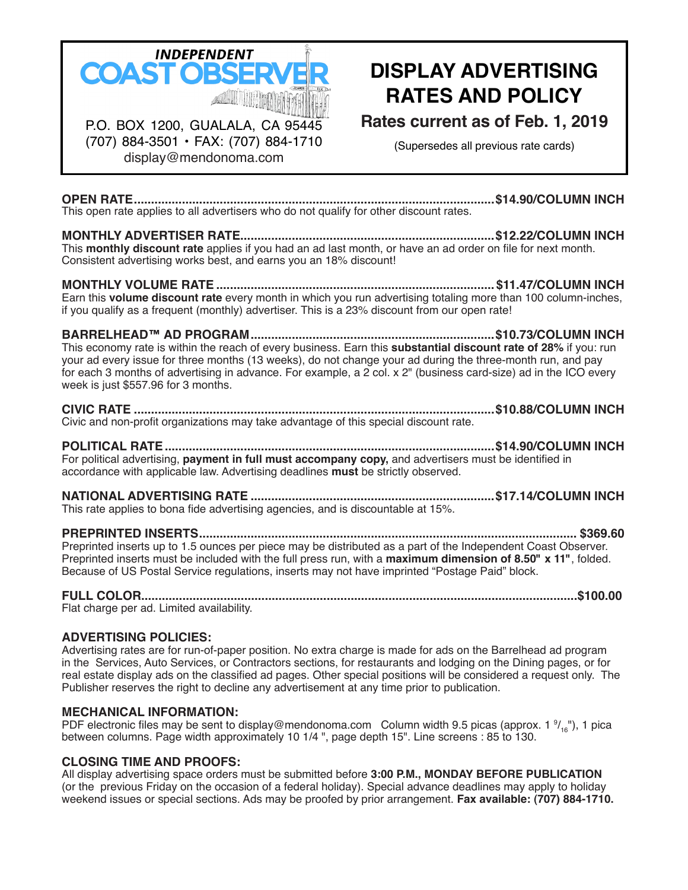

(707) 884-3501 • FAX: (707) 884-1710 display@mendonoma.com

# **Display Advertising Rates and Policy**

**Rates current as of Feb. 1, 2019**

(Supersedes all previous rate cards)

**Open Rate.........................................................................................................\$14.90/column inch** This open rate applies to all advertisers who do not qualify for other discount rates.

**MONTHLY Advertiser Rate..........................................................................\$12.22/column inch** This **monthly discount rate** applies if you had an ad last month, or have an ad order on file for next month. Consistent advertising works best, and earns you an 18% discount!

**Monthly Volume Rate .................................................................................\$11.47/column inch** Earn this **volume discount rate** every month in which you run advertising totaling more than 100 column-inches, if you qualify as a frequent (monthly) advertiser. This is a 23% discount from our open rate!

**Barrelhead™ Ad Program.......................................................................\$10.73/column inch** This economy rate is within the reach of every business. Earn this **substantial discount rate of 28%** if you: run your ad every issue for three months (13 weeks), do not change your ad during the three-month run, and pay for each 3 months of advertising in advance. For example, a 2 col. x 2" (business card-size) ad in the ICO every week is just \$557.96 for 3 months.

#### **Civic Rate .........................................................................................................\$10.88/column Inch** Civic and non-profit organizations may take advantage of this special discount rate.

**Political Rate................................................................................................\$14.90/column inch** For political advertising, **payment in full must accompany copy,** and advertisers must be identified in accordance with applicable law. Advertising deadlines **must** be strictly observed.

**National Advertising Rate .......................................................................\$17.14/column inch** This rate applies to bona fide advertising agencies, and is discountable at 15%.

**Preprinted Inserts.............................................................................................................. \$369.60** Preprinted inserts up to 1.5 ounces per piece may be distributed as a part of the Independent Coast Observer. Preprinted inserts must be included with the full press run, with a **maximum dimension of 8.50" x 11"** , folded. Because of US Postal Service regulations, inserts may not have imprinted "Postage Paid" block.

# **Full Color...............................................................................................................................\$100.00**

Flat charge per ad. Limited availability.

## **Advertising Policies:**

Advertising rates are for run-of-paper position. No extra charge is made for ads on the Barrelhead ad program in the Services, Auto Services, or Contractors sections, for restaurants and lodging on the Dining pages, or for real estate display ads on the classified ad pages. Other special positions will be considered a request only. The Publisher reserves the right to decline any advertisement at any time prior to publication.

## **Mechanical Information:**

PDF electronic files may be sent to display@mendonoma.com Column width 9.5 picas (approx. 1  $\frac{9}{16}$ ), 1 pica between columns. Page width approximately 10 1/4 ", page depth 15". Line screens : 85 to 130.

## **Closing Time and Proofs:**

All display advertising space orders must be submitted before **3:00 p.m., Monday before publication** (or the previous Friday on the occasion of a federal holiday). Special advance deadlines may apply to holiday weekend issues or special sections. Ads may be proofed by prior arrangement. **Fax available: (707) 884-1710.**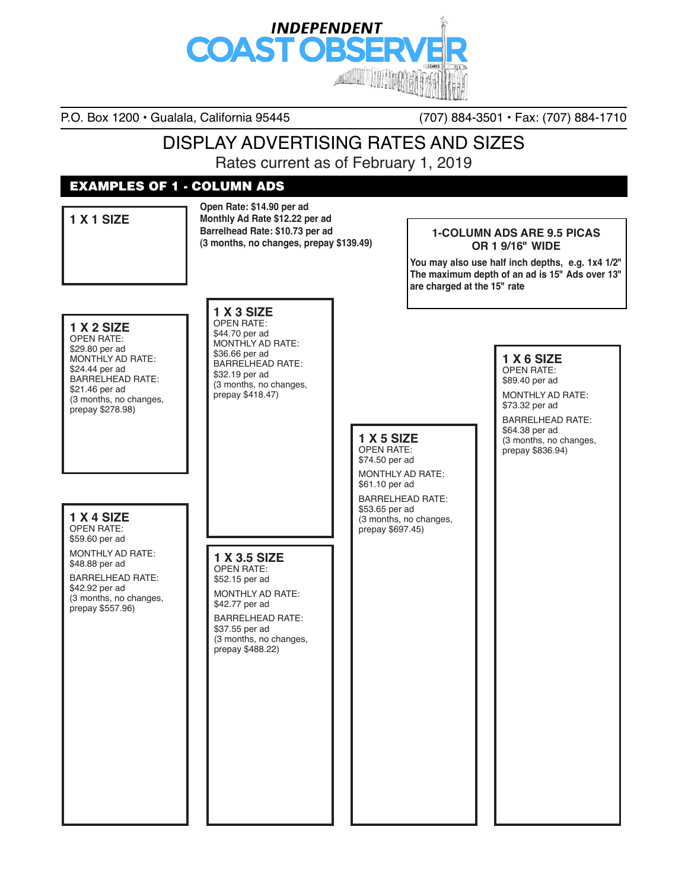

P.O. Box 1200 • Gualala, California 95445 (707) 884-3501 • Fax: (707) 884-1710

## Display Advertising Rates and Sizes

Rates current as of February 1, 2019

## EXAMPLES OF 1 - Column Ads

**Open Rate: \$14.90 per ad Monthly Ad Rate \$12.22 per ad Barrelhead Rate: \$10.73 per ad (3 months, no changes, prepay \$139.49)**

### **1-Column Ads are 9.5 picas or 1 9/16" wide**

**You may also use half inch depths, e.g. 1x4 1/2" The maximum depth of an ad is 15" Ads over 13" are charged at the 15" rate**

## **1 x 2 Size**

**1 x 1 Size** 

Open Rate: \$29.80 per ad MONTHLY AD RATE: \$24.44 per ad Barrelhead Rate: \$21.46 per ad (3 months, no changes, prepay \$278.98)

## **1 x 3 Size**

Open Rate: \$44.70 per ad Monthly Ad Rate: \$36.66 per ad Barrelhead Rate: \$32.19 per ad (3 months, no changes, prepay \$418.47)

#### **1 x 5 Size**  Open Rate: \$74.50 per ad

Monthly Ad Rate: \$61.10 per ad Barrelhead Rate: \$53.65 per ad (3 months, no changes, prepay \$697.45)

#### **1 x 6 Size**  Open Rate:

\$89.40 per ad

Monthly Ad Rate: \$73.32 per ad

Barrelhead Rate: \$64.38 per ad (3 months, no changes, prepay \$836.94)

#### **1 x 4 Size**  Open Rate: \$59.60 per ad Monthly Ad Rate: \$48.88 per ad

Barrelhead Rate: \$42.92 per ad (3 months, no changes, prepay \$557.96)

#### **1 x 3.5 Size**  OPEN RATE:

\$52.15 per ad Monthly Ad Rate: \$42.77 per ad

Barrelhead Rate: \$37.55 per ad (3 months, no changes, prepay \$488.22)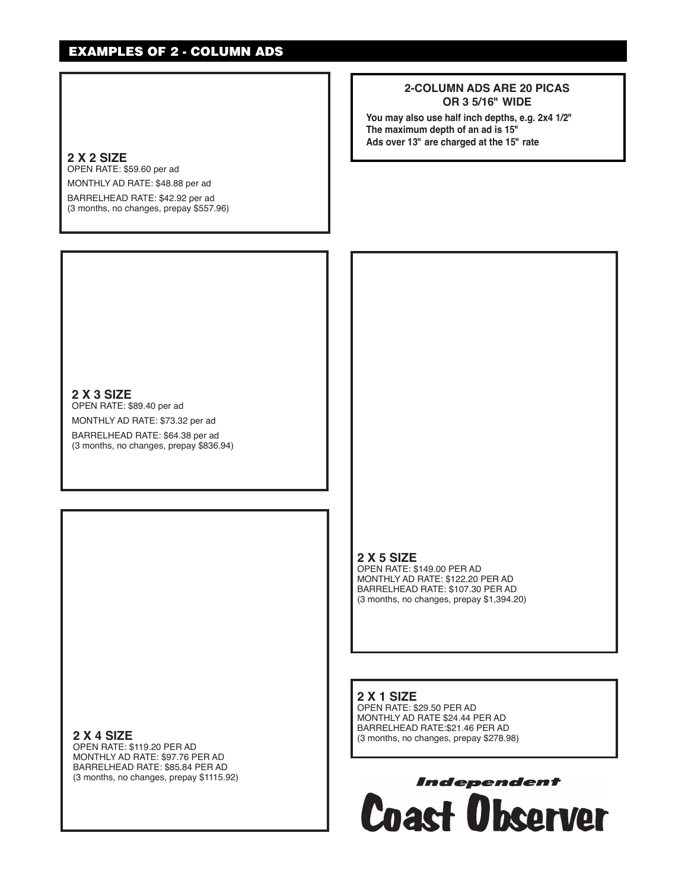## EXAMPLES OF 2 - Column Ads

#### **2-Column Ads are 20 picas or 3 5/16" wide**

**You may also use half inch depths, e.g. 2x4 1/2" The maximum depth of an ad is 15" Ads over 13" are charged at the 15" rate**

#### **2 x 2 Size**

Open Rate: \$59.60 per ad

Monthly Ad Rate: \$48.88 per ad BARRELHEAD RATE: \$42.92 per ad (3 months, no changes, prepay \$557.96)

**2 x 3 Size**

OPEN RATE: \$89.40 per ad Monthly Ad Rate: \$73.32 per ad BARRELHEAD RATE: \$64.38 per ad (3 months, no changes, prepay \$836.94)

**2 x 5 Size**

**2 x 1 Size** 

Open Rate: \$29.50 per ad Monthly Ad Rate \$24.44 per ad Barrelhead Rate:\$21.46 per ad (3 months, no changes, prepay \$278.98)

Open Rate: \$149.00 per ad Monthly Ad Rate: \$122.20 per ad Barrelhead Rate: \$107.30 per ad (3 months, no changes, prepay \$1,394.20)

**2 x 4 Size**

Open Rate: \$119.20 per ad Monthly Ad Rate: \$97.76 per ad Barrelhead Rate: \$85.84 per ad (3 months, no changes, prepay \$1115.92)